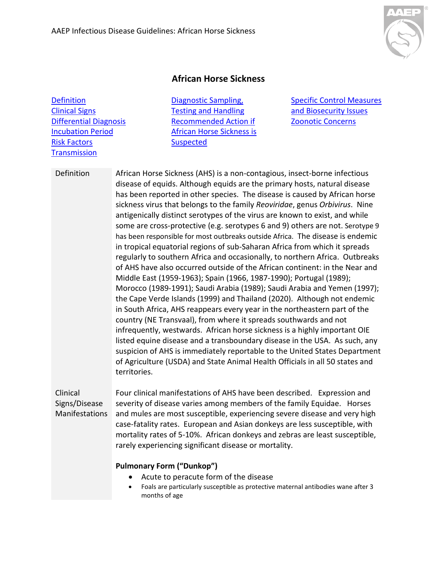

## **African Horse Sickness**

**Definition** [Clinical Signs](#page-0-0)  [Differential Diagnosis](#page-1-0) [Incubation Period](#page-2-0)  [Risk Factors](#page-2-1)  **Transmission** 

[Diagnostic Sampling,](#page-3-0)  [Testing and Handling](#page-3-0) [Recommended Action if](#page-3-1)  [African Horse Sickness is](#page-3-1)  **[Suspected](#page-3-1)** 

[Specific Control Measures](#page-4-0)  [and Biosecurity Issues](#page-4-0) [Zoonotic Concerns](#page-4-1)

Definition African Horse Sickness (AHS) is a non-contagious, insect-borne infectious disease of equids. Although equids are the primary hosts, natural disease has been reported in other species. The disease is caused by African horse sickness virus that belongs to the family *Reoviridae*, genus *Orbivirus*. Nine antigenically distinct serotypes of the virus are known to exist, and while some are cross-protective (e.g. serotypes 6 and 9) others are not. Serotype 9 has been responsible for most outbreaks outside Africa. The disease is endemic in tropical equatorial regions of sub-Saharan Africa from which it spreads regularly to southern Africa and occasionally, to northern Africa. Outbreaks of AHS have also occurred outside of the African continent: in the Near and Middle East (1959-1963); Spain (1966, 1987-1990); Portugal (1989); Morocco (1989-1991); Saudi Arabia (1989); Saudi Arabia and Yemen (1997); the Cape Verde Islands (1999) and Thailand (2020). Although not endemic in South Africa, AHS reappears every year in the northeastern part of the country (NE Transvaal), from where it spreads southwards and not infrequently, westwards. African horse sickness is a highly important OIE listed equine disease and a transboundary disease in the USA. As such, any suspicion of AHS is immediately reportable to the United States Department of Agriculture (USDA) and State Animal Health Officials in all 50 states and territories.

<span id="page-0-0"></span>Clinical Signs/Disease Manifestations

Four clinical manifestations of AHS have been described. Expression and severity of disease varies among members of the family Equidae. Horses and mules are most susceptible, experiencing severe disease and very high case-fatality rates. European and Asian donkeys are less susceptible, with mortality rates of 5-10%. African donkeys and zebras are least susceptible, rarely experiencing significant disease or mortality.

#### **Pulmonary Form ("Dunkop")**

- Acute to peracute form of the disease
- Foals are particularly susceptible as protective maternal antibodies wane after 3 months of age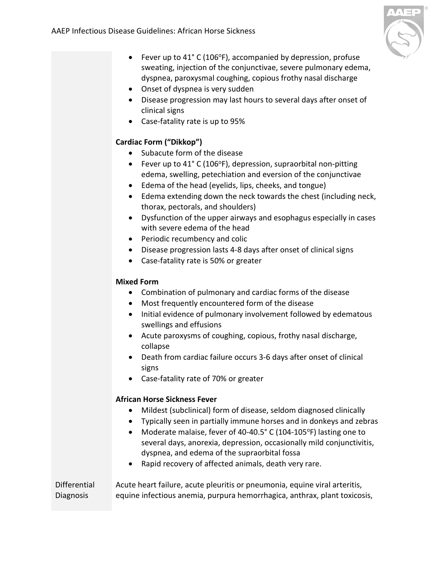- Fever up to  $41^{\circ}$  C (106 $^{\circ}$ F), accompanied by depression, profuse sweating, injection of the conjunctivae, severe pulmonary edema, dyspnea, paroxysmal coughing, copious frothy nasal discharge
- Onset of dyspnea is very sudden
- Disease progression may last hours to several days after onset of clinical signs
- Case-fatality rate is up to 95%

## **Cardiac Form ("Dikkop")**

- Subacute form of the disease
- Fever up to 41° C (106°F), depression, supraorbital non-pitting edema, swelling, petechiation and eversion of the conjunctivae
- Edema of the head (eyelids, lips, cheeks, and tongue)
- Edema extending down the neck towards the chest (including neck, thorax, pectorals, and shoulders)
- Dysfunction of the upper airways and esophagus especially in cases with severe edema of the head
- Periodic recumbency and colic
- Disease progression lasts 4-8 days after onset of clinical signs
- Case-fatality rate is 50% or greater

#### **Mixed Form**

- Combination of pulmonary and cardiac forms of the disease
- Most frequently encountered form of the disease
- Initial evidence of pulmonary involvement followed by edematous swellings and effusions
- Acute paroxysms of coughing, copious, frothy nasal discharge, collapse
- Death from cardiac failure occurs 3-6 days after onset of clinical signs
- Case-fatality rate of 70% or greater

## **African Horse Sickness Fever**

- Mildest (subclinical) form of disease, seldom diagnosed clinically
- Typically seen in partially immune horses and in donkeys and zebras
- Moderate malaise, fever of 40-40.5° C (104-105°F) lasting one to several days, anorexia, depression, occasionally mild conjunctivitis, dyspnea, and edema of the supraorbital fossa
- Rapid recovery of affected animals, death very rare.

<span id="page-1-0"></span>Differential Diagnosis Acute heart failure, acute pleuritis or pneumonia, equine viral arteritis, equine infectious anemia, purpura hemorrhagica, anthrax, plant toxicosis,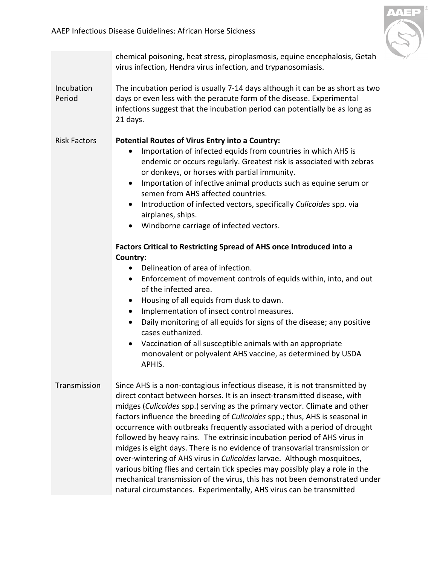

<span id="page-2-2"></span><span id="page-2-1"></span><span id="page-2-0"></span>

|                      | chemical poisoning, heat stress, piroplasmosis, equine encephalosis, Getah<br>virus infection, Hendra virus infection, and trypanosomiasis.                                                                                                                                                                                                                                                                                                                                                                                                                                                                                                                                                                                                                                                                                                                              |
|----------------------|--------------------------------------------------------------------------------------------------------------------------------------------------------------------------------------------------------------------------------------------------------------------------------------------------------------------------------------------------------------------------------------------------------------------------------------------------------------------------------------------------------------------------------------------------------------------------------------------------------------------------------------------------------------------------------------------------------------------------------------------------------------------------------------------------------------------------------------------------------------------------|
| Incubation<br>Period | The incubation period is usually 7-14 days although it can be as short as two<br>days or even less with the peracute form of the disease. Experimental<br>infections suggest that the incubation period can potentially be as long as<br>21 days.                                                                                                                                                                                                                                                                                                                                                                                                                                                                                                                                                                                                                        |
| <b>Risk Factors</b>  | <b>Potential Routes of Virus Entry into a Country:</b><br>Importation of infected equids from countries in which AHS is<br>$\bullet$<br>endemic or occurs regularly. Greatest risk is associated with zebras<br>or donkeys, or horses with partial immunity.<br>Importation of infective animal products such as equine serum or<br>$\bullet$<br>semen from AHS affected countries.<br>Introduction of infected vectors, specifically Culicoides spp. via<br>$\bullet$<br>airplanes, ships.<br>• Windborne carriage of infected vectors.                                                                                                                                                                                                                                                                                                                                 |
|                      | Factors Critical to Restricting Spread of AHS once Introduced into a                                                                                                                                                                                                                                                                                                                                                                                                                                                                                                                                                                                                                                                                                                                                                                                                     |
|                      | Country:                                                                                                                                                                                                                                                                                                                                                                                                                                                                                                                                                                                                                                                                                                                                                                                                                                                                 |
|                      | Delineation of area of infection.<br>$\bullet$                                                                                                                                                                                                                                                                                                                                                                                                                                                                                                                                                                                                                                                                                                                                                                                                                           |
|                      | Enforcement of movement controls of equids within, into, and out<br>$\bullet$<br>of the infected area.                                                                                                                                                                                                                                                                                                                                                                                                                                                                                                                                                                                                                                                                                                                                                                   |
|                      | Housing of all equids from dusk to dawn.<br>$\bullet$                                                                                                                                                                                                                                                                                                                                                                                                                                                                                                                                                                                                                                                                                                                                                                                                                    |
|                      | Implementation of insect control measures.<br>$\bullet$                                                                                                                                                                                                                                                                                                                                                                                                                                                                                                                                                                                                                                                                                                                                                                                                                  |
|                      | Daily monitoring of all equids for signs of the disease; any positive<br>$\bullet$<br>cases euthanized.                                                                                                                                                                                                                                                                                                                                                                                                                                                                                                                                                                                                                                                                                                                                                                  |
|                      | Vaccination of all susceptible animals with an appropriate<br>$\bullet$                                                                                                                                                                                                                                                                                                                                                                                                                                                                                                                                                                                                                                                                                                                                                                                                  |
|                      | monovalent or polyvalent AHS vaccine, as determined by USDA<br>APHIS.                                                                                                                                                                                                                                                                                                                                                                                                                                                                                                                                                                                                                                                                                                                                                                                                    |
| Transmission         | Since AHS is a non-contagious infectious disease, it is not transmitted by<br>direct contact between horses. It is an insect-transmitted disease, with<br>midges (Culicoides spp.) serving as the primary vector. Climate and other<br>factors influence the breeding of Culicoides spp.; thus, AHS is seasonal in<br>occurrence with outbreaks frequently associated with a period of drought<br>followed by heavy rains. The extrinsic incubation period of AHS virus in<br>midges is eight days. There is no evidence of transovarial transmission or<br>over-wintering of AHS virus in Culicoides larvae. Although mosquitoes,<br>various biting flies and certain tick species may possibly play a role in the<br>mechanical transmission of the virus, this has not been demonstrated under<br>natural circumstances. Experimentally, AHS virus can be transmitted |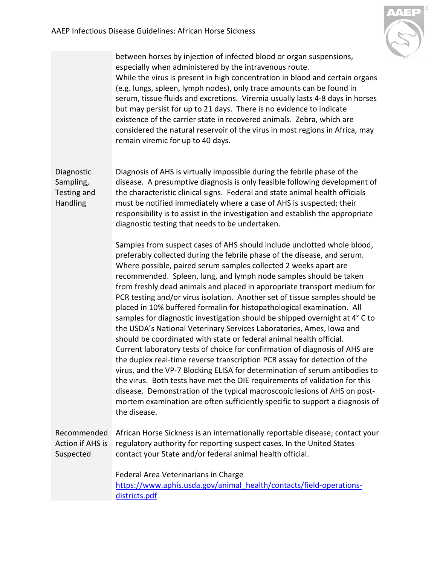

<span id="page-3-1"></span><span id="page-3-0"></span>

|                                                     | between horses by injection of infected blood or organ suspensions,<br>especially when administered by the intravenous route.<br>While the virus is present in high concentration in blood and certain organs<br>(e.g. lungs, spleen, lymph nodes), only trace amounts can be found in<br>serum, tissue fluids and excretions. Viremia usually lasts 4-8 days in horses<br>but may persist for up to 21 days. There is no evidence to indicate<br>existence of the carrier state in recovered animals. Zebra, which are<br>considered the natural reservoir of the virus in most regions in Africa, may<br>remain viremic for up to 40 days.                                                                                                                                                                                                                                                                                                                                                                                                                                                                                                                                                                                                                          |
|-----------------------------------------------------|-----------------------------------------------------------------------------------------------------------------------------------------------------------------------------------------------------------------------------------------------------------------------------------------------------------------------------------------------------------------------------------------------------------------------------------------------------------------------------------------------------------------------------------------------------------------------------------------------------------------------------------------------------------------------------------------------------------------------------------------------------------------------------------------------------------------------------------------------------------------------------------------------------------------------------------------------------------------------------------------------------------------------------------------------------------------------------------------------------------------------------------------------------------------------------------------------------------------------------------------------------------------------|
| Diagnostic<br>Sampling,<br>Testing and<br>Handling  | Diagnosis of AHS is virtually impossible during the febrile phase of the<br>disease. A presumptive diagnosis is only feasible following development of<br>the characteristic clinical signs. Federal and state animal health officials<br>must be notified immediately where a case of AHS is suspected; their<br>responsibility is to assist in the investigation and establish the appropriate<br>diagnostic testing that needs to be undertaken.                                                                                                                                                                                                                                                                                                                                                                                                                                                                                                                                                                                                                                                                                                                                                                                                                   |
|                                                     | Samples from suspect cases of AHS should include unclotted whole blood,<br>preferably collected during the febrile phase of the disease, and serum.<br>Where possible, paired serum samples collected 2 weeks apart are<br>recommended. Spleen, lung, and lymph node samples should be taken<br>from freshly dead animals and placed in appropriate transport medium for<br>PCR testing and/or virus isolation. Another set of tissue samples should be<br>placed in 10% buffered formalin for histopathological examination. All<br>samples for diagnostic investigation should be shipped overnight at 4° C to<br>the USDA's National Veterinary Services Laboratories, Ames, Iowa and<br>should be coordinated with state or federal animal health official.<br>Current laboratory tests of choice for confirmation of diagnosis of AHS are<br>the duplex real-time reverse transcription PCR assay for detection of the<br>virus, and the VP-7 Blocking ELISA for determination of serum antibodies to<br>the virus. Both tests have met the OIE requirements of validation for this<br>disease. Demonstration of the typical macroscopic lesions of AHS on post-<br>mortem examination are often sufficiently specific to support a diagnosis of<br>the disease. |
| Recommended<br><b>Action if AHS is</b><br>Suspected | African Horse Sickness is an internationally reportable disease; contact your<br>regulatory authority for reporting suspect cases. In the United States<br>contact your State and/or federal animal health official.                                                                                                                                                                                                                                                                                                                                                                                                                                                                                                                                                                                                                                                                                                                                                                                                                                                                                                                                                                                                                                                  |
|                                                     | Federal Area Veterinarians in Charge<br>https://www.aphis.usda.gov/animal health/contacts/field-operations-<br>districts.pdf                                                                                                                                                                                                                                                                                                                                                                                                                                                                                                                                                                                                                                                                                                                                                                                                                                                                                                                                                                                                                                                                                                                                          |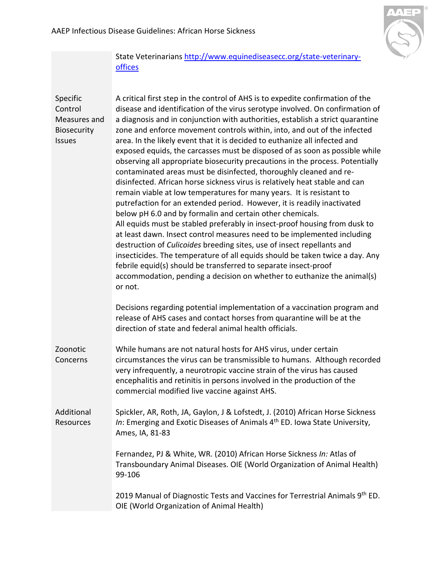

# State Veterinarians [http://www.equinediseasecc.org/state-veterinary](http://www.equinediseasecc.org/state-veterinary-offices)[offices](http://www.equinediseasecc.org/state-veterinary-offices)

<span id="page-4-1"></span><span id="page-4-0"></span>

| Specific<br>Control<br>Measures and<br>Biosecurity<br>Issues | A critical first step in the control of AHS is to expedite confirmation of the<br>disease and identification of the virus serotype involved. On confirmation of<br>a diagnosis and in conjunction with authorities, establish a strict quarantine<br>zone and enforce movement controls within, into, and out of the infected<br>area. In the likely event that it is decided to euthanize all infected and<br>exposed equids, the carcasses must be disposed of as soon as possible while<br>observing all appropriate biosecurity precautions in the process. Potentially<br>contaminated areas must be disinfected, thoroughly cleaned and re-<br>disinfected. African horse sickness virus is relatively heat stable and can<br>remain viable at low temperatures for many years. It is resistant to<br>putrefaction for an extended period. However, it is readily inactivated<br>below pH 6.0 and by formalin and certain other chemicals.<br>All equids must be stabled preferably in insect-proof housing from dusk to<br>at least dawn. Insect control measures need to be implemented including<br>destruction of Culicoides breeding sites, use of insect repellants and<br>insecticides. The temperature of all equids should be taken twice a day. Any<br>febrile equid(s) should be transferred to separate insect-proof<br>accommodation, pending a decision on whether to euthanize the animal(s)<br>or not. |
|--------------------------------------------------------------|------------------------------------------------------------------------------------------------------------------------------------------------------------------------------------------------------------------------------------------------------------------------------------------------------------------------------------------------------------------------------------------------------------------------------------------------------------------------------------------------------------------------------------------------------------------------------------------------------------------------------------------------------------------------------------------------------------------------------------------------------------------------------------------------------------------------------------------------------------------------------------------------------------------------------------------------------------------------------------------------------------------------------------------------------------------------------------------------------------------------------------------------------------------------------------------------------------------------------------------------------------------------------------------------------------------------------------------------------------------------------------------------------------------------------|
|                                                              | Decisions regarding potential implementation of a vaccination program and<br>release of AHS cases and contact horses from quarantine will be at the<br>direction of state and federal animal health officials.                                                                                                                                                                                                                                                                                                                                                                                                                                                                                                                                                                                                                                                                                                                                                                                                                                                                                                                                                                                                                                                                                                                                                                                                               |
| Zoonotic<br>Concerns                                         | While humans are not natural hosts for AHS virus, under certain<br>circumstances the virus can be transmissible to humans. Although recorded<br>very infrequently, a neurotropic vaccine strain of the virus has caused<br>encephalitis and retinitis in persons involved in the production of the<br>commercial modified live vaccine against AHS.                                                                                                                                                                                                                                                                                                                                                                                                                                                                                                                                                                                                                                                                                                                                                                                                                                                                                                                                                                                                                                                                          |
| Additional<br><b>Resources</b>                               | Spickler, AR, Roth, JA, Gaylon, J & Lofstedt, J. (2010) African Horse Sickness<br>In: Emerging and Exotic Diseases of Animals 4 <sup>th</sup> ED. Iowa State University,<br>Ames, IA, 81-83                                                                                                                                                                                                                                                                                                                                                                                                                                                                                                                                                                                                                                                                                                                                                                                                                                                                                                                                                                                                                                                                                                                                                                                                                                  |
|                                                              | Fernandez, PJ & White, WR. (2010) African Horse Sickness In: Atlas of<br>Transboundary Animal Diseases. OIE (World Organization of Animal Health)<br>99-106                                                                                                                                                                                                                                                                                                                                                                                                                                                                                                                                                                                                                                                                                                                                                                                                                                                                                                                                                                                                                                                                                                                                                                                                                                                                  |
|                                                              | 2019 Manual of Diagnostic Tests and Vaccines for Terrestrial Animals 9th ED.<br>OIE (World Organization of Animal Health)                                                                                                                                                                                                                                                                                                                                                                                                                                                                                                                                                                                                                                                                                                                                                                                                                                                                                                                                                                                                                                                                                                                                                                                                                                                                                                    |